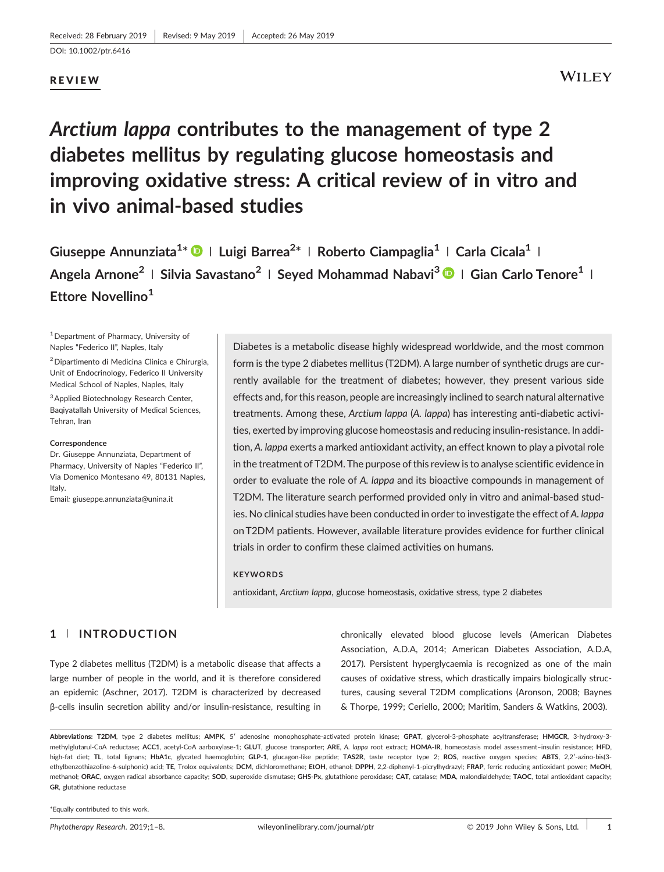## **WILEY**

# *Arctium lappa* **contributes to the management of type 2 diabetes mellitus by regulating glucose homeostasis and improving oxidative stress: A critical review of in vitro and in vivo animal‐based studies**

**Giuseppe Annunziata1 \* <sup>|</sup> Luigi Barrea2 \* <sup>|</sup> Roberto Ciampaglia1 <sup>|</sup> Carla Cicala1 <sup>|</sup> Angela Arnone<sup>2</sup> <sup>|</sup> Silvia Savastano<sup>2</sup> <sup>|</sup> Seyed Mohammad Nabavi3 <sup>|</sup> Gian Carlo Tenore<sup>1</sup> <sup>|</sup> Ettore Novellino1**

<sup>1</sup> Department of Pharmacy, University of Naples "Federico II", Naples, Italy

2Dipartimento di Medicina Clinica e Chirurgia, Unit of Endocrinology, Federico II University Medical School of Naples, Naples, Italy 3Applied Biotechnology Research Center, Baqiyatallah University of Medical Sciences, Tehran, Iran

#### **Correspondence**

Dr. Giuseppe Annunziata, Department of Pharmacy, University of Naples "Federico II", Via Domenico Montesano 49, 80131 Naples, Italy.

Email*:* giuseppe.annunziata@unina.it

Diabetes is a metabolic disease highly widespread worldwide, and the most common form is the type 2 diabetes mellitus (T2DM). A large number of synthetic drugs are currently available for the treatment of diabetes; however, they present various side effects and, for this reason, people are increasingly inclined to search natural alternative treatments. Among these, *Arctium lappa* (*A. lappa*) has interesting anti‐diabetic activities, exerted by improving glucose homeostasis and reducing insulin‐resistance. In addition, *A. lappa* exerts a marked antioxidant activity, an effect known to play a pivotal role in the treatment of T2DM. The purpose of this review is to analyse scientific evidence in order to evaluate the role of *A. lappa* and its bioactive compounds in management of T2DM. The literature search performed provided only in vitro and animal‐based studies. No clinical studies have been conducted in order to investigate the effect of *A. lappa* on T2DM patients. However, available literature provides evidence for further clinical trials in order to confirm these claimed activities on humans.

#### **KEYWORDS**

antioxidant, *Arctium lappa*, glucose homeostasis, oxidative stress, type 2 diabetes

## **1** | **INTRODUCTION**

Type 2 diabetes mellitus (T2DM) is a metabolic disease that affects a large number of people in the world, and it is therefore considered an epidemic (Aschner, 2017). T2DM is characterized by decreased β‐cells insulin secretion ability and/or insulin‐resistance, resulting in

chronically elevated blood glucose levels (American Diabetes Association, A.D.A, 2014; American Diabetes Association, A.D.A, 2017). Persistent hyperglycaemia is recognized as one of the main causes of oxidative stress, which drastically impairs biologically structures, causing several T2DM complications (Aronson, 2008; Baynes & Thorpe, 1999; Ceriello, 2000; Maritim, Sanders & Watkins, 2003).

**Abbreviations: T2DM**, type 2 diabetes mellitus; **AMPK**, 5′ adenosine monophosphate‐activated protein kinase; **GPAT**, glycerol‐3‐phosphate acyltransferase; **HMGCR**, 3‐hydroxy‐3‐ methylglutarul-CoA reductase; ACC1, acetyl-CoA aarboxylase-1; GLUT, glucose transporter; ARE, A. lappa root extract; HOMA-IR, homeostasis model assessment-insulin resistance; HFD, high-fat diet; TL, total lignans; HbA1c, glycated haemoglobin; GLP-1, glucagon-like peptide; TAS2R, taste receptor type 2; ROS, reactive oxygen species; ABTS, 2,2'-azino-bis(3ethylbenzothiazoline-6-sulphonic) acid; TE, Trolox equivalents; DCM, dichloromethane; EtOH, ethanol; DPPH, 2,2-diphenyl-1-picrylhydrazyl; FRAP, ferric reducing antioxidant power; MeOH, methanol; ORAC, oxygen radical absorbance capacity; SOD, superoxide dismutase; GHS-Px, glutathione peroxidase; CAT, catalase; MDA, malondialdehyde; TAOC, total antioxidant capacity; **GR**, glutathione reductase

\*Equally contributed to this work.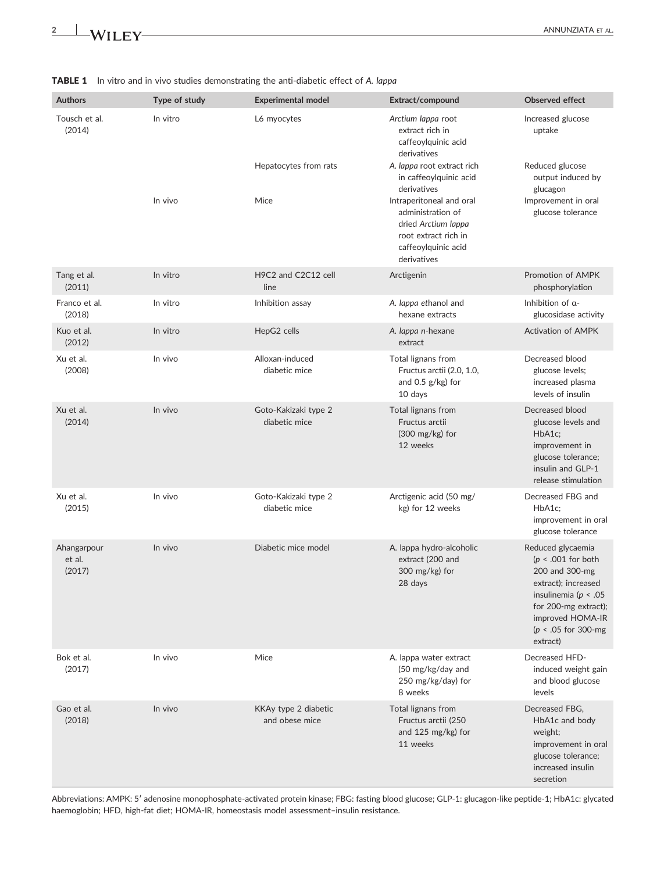

|  |  |  |  | <b>TABLE 1</b> In vitro and in vivo studies demonstrating the anti-diabetic effect of A. lappa |  |  |  |  |  |
|--|--|--|--|------------------------------------------------------------------------------------------------|--|--|--|--|--|
|--|--|--|--|------------------------------------------------------------------------------------------------|--|--|--|--|--|

| <b>Authors</b>                  | Type of study | <b>Experimental model</b>              | Extract/compound                                                                                                                   | <b>Observed effect</b>                                                                                                                                                                          |
|---------------------------------|---------------|----------------------------------------|------------------------------------------------------------------------------------------------------------------------------------|-------------------------------------------------------------------------------------------------------------------------------------------------------------------------------------------------|
| Tousch et al.<br>(2014)         | In vitro      | L6 myocytes                            | Arctium lappa root<br>extract rich in<br>caffeoylquinic acid<br>derivatives                                                        | Increased glucose<br>uptake                                                                                                                                                                     |
|                                 |               | Hepatocytes from rats                  | A. lappa root extract rich<br>in caffeoylquinic acid<br>derivatives                                                                | Reduced glucose<br>output induced by<br>glucagon                                                                                                                                                |
|                                 | In vivo       | Mice                                   | Intraperitoneal and oral<br>administration of<br>dried Arctium lappa<br>root extract rich in<br>caffeoylquinic acid<br>derivatives | Improvement in oral<br>glucose tolerance                                                                                                                                                        |
| Tang et al.<br>(2011)           | In vitro      | H9C2 and C2C12 cell<br>line            | Arctigenin                                                                                                                         | Promotion of AMPK<br>phosphorylation                                                                                                                                                            |
| Franco et al.<br>(2018)         | In vitro      | Inhibition assay                       | A. lappa ethanol and<br>hexane extracts                                                                                            | Inhibition of $\alpha$ -<br>glucosidase activity                                                                                                                                                |
| Kuo et al.<br>(2012)            | In vitro      | HepG2 cells                            | A. lappa n-hexane<br>extract                                                                                                       | <b>Activation of AMPK</b>                                                                                                                                                                       |
| Xu et al.<br>(2008)             | In vivo       | Alloxan-induced<br>diabetic mice       | Total lignans from<br>Fructus arctii (2.0, 1.0,<br>and $0.5$ g/kg) for<br>10 days                                                  | Decreased blood<br>glucose levels;<br>increased plasma<br>levels of insulin                                                                                                                     |
| Xu et al.<br>(2014)             | In vivo       | Goto-Kakizaki type 2<br>diabetic mice  | Total lignans from<br>Fructus arctii<br>(300 mg/kg) for<br>12 weeks                                                                | Decreased blood<br>glucose levels and<br>HbA1c:<br>improvement in<br>glucose tolerance;<br>insulin and GLP-1<br>release stimulation                                                             |
| Xu et al.<br>(2015)             | In vivo       | Goto-Kakizaki type 2<br>diabetic mice  | Arctigenic acid (50 mg/<br>kg) for 12 weeks                                                                                        | Decreased FBG and<br>HbA1c:<br>improvement in oral<br>glucose tolerance                                                                                                                         |
| Ahangarpour<br>et al.<br>(2017) | In vivo       | Diabetic mice model                    | A. lappa hydro-alcoholic<br>extract (200 and<br>$300 \text{ mg/kg}$ for<br>28 days                                                 | Reduced glycaemia<br>( $p < .001$ for both<br>200 and 300-mg<br>extract); increased<br>insulinemia ( $p < .05$<br>for 200-mg extract);<br>improved HOMA-IR<br>$(p < .05$ for 300-mg<br>extract) |
| Bok et al.<br>(2017)            | In vivo       | Mice                                   | A. lappa water extract<br>(50 mg/kg/day and<br>250 mg/kg/day) for<br>8 weeks                                                       | Decreased HFD-<br>induced weight gain<br>and blood glucose<br>levels                                                                                                                            |
| Gao et al.<br>(2018)            | In vivo       | KKAy type 2 diabetic<br>and obese mice | Total lignans from<br>Fructus arctii (250<br>and $125 \text{ mg/kg}$ for<br>11 weeks                                               | Decreased FBG,<br>HbA1c and body<br>weight;<br>improvement in oral<br>glucose tolerance;<br>increased insulin<br>secretion                                                                      |

Abbreviations: AMPK: 5′ adenosine monophosphate‐activated protein kinase; FBG: fasting blood glucose; GLP‐1: glucagon‐like peptide‐1; HbA1c: glycated haemoglobin; HFD, high‐fat diet; HOMA‐IR, homeostasis model assessment–insulin resistance.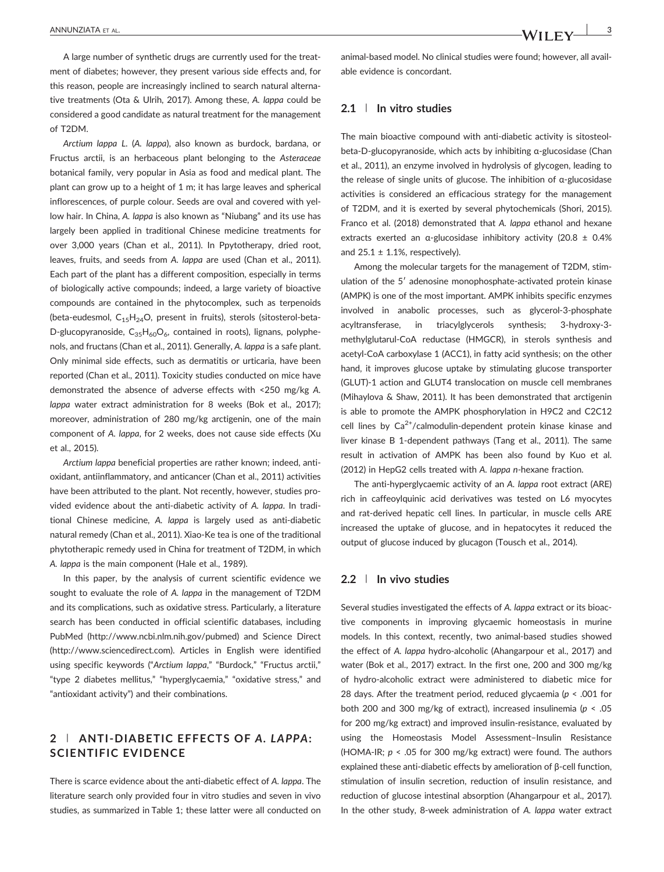A large number of synthetic drugs are currently used for the treatment of diabetes; however, they present various side effects and, for this reason, people are increasingly inclined to search natural alternative treatments (Ota & Ulrih, 2017). Among these, *A. lappa* could be considered a good candidate as natural treatment for the management of T2DM.

*Arctium lappa L*. (*A. lappa*), also known as burdock, bardana, or Fructus arctii, is an herbaceous plant belonging to the *Asteraceae* botanical family, very popular in Asia as food and medical plant. The plant can grow up to a height of 1 m; it has large leaves and spherical inflorescences, of purple colour. Seeds are oval and covered with yellow hair. In China, *A. lappa* is also known as "Niubang" and its use has largely been applied in traditional Chinese medicine treatments for over 3,000 years (Chan et al., 2011). In Ppytotherapy, dried root, leaves, fruits, and seeds from *A. lappa* are used (Chan et al., 2011). Each part of the plant has a different composition, especially in terms of biologically active compounds; indeed, a large variety of bioactive compounds are contained in the phytocomplex, such as terpenoids (beta-eudesmol, C<sub>15</sub>H<sub>24</sub>O, present in fruits), sterols (sitosterol-beta-D-glucopyranoside,  $C_{35}H_{60}O_6$ , contained in roots), lignans, polyphenols, and fructans (Chan et al., 2011). Generally, *A. lappa* is a safe plant. Only minimal side effects, such as dermatitis or urticaria, have been reported (Chan et al., 2011). Toxicity studies conducted on mice have demonstrated the absence of adverse effects with <250 mg/kg *A. lappa* water extract administration for 8 weeks (Bok et al., 2017); moreover, administration of 280 mg/kg arctigenin, one of the main component of *A. lappa*, for 2 weeks, does not cause side effects (Xu et al., 2015).

*Arctium lappa* beneficial properties are rather known; indeed, antioxidant, antiinflammatory, and anticancer (Chan et al., 2011) activities have been attributed to the plant. Not recently, however, studies provided evidence about the anti‐diabetic activity of *A. lappa*. In traditional Chinese medicine, *A. lappa* is largely used as anti‐diabetic natural remedy (Chan et al., 2011). Xiao‐Ke tea is one of the traditional phytotherapic remedy used in China for treatment of T2DM, in which *A. lappa* is the main component (Hale et al., 1989).

In this paper, by the analysis of current scientific evidence we sought to evaluate the role of *A. lappa* in the management of T2DM and its complications, such as oxidative stress. Particularly, a literature search has been conducted in official scientific databases, including PubMed (<http://www.ncbi.nlm.nih.gov/pubmed>) and Science Direct ([http://www.sciencedirect.com\)](http://www.sciencedirect.com). Articles in English were identified using specific keywords ("*Arctium lappa*," "Burdock," "Fructus arctii," "type 2 diabetes mellitus," "hyperglycaemia," "oxidative stress," and "antioxidant activity") and their combinations.

## **2** | **ANTI‐DIABETIC EFFECTS OF** *A. LAPPA***: SCIENTIFIC EVIDENCE**

There is scarce evidence about the anti‐diabetic effect of *A. lappa*. The literature search only provided four in vitro studies and seven in vivo studies, as summarized in Table 1; these latter were all conducted on animal‐based model. No clinical studies were found; however, all available evidence is concordant.

## **2.1** | **In vitro studies**

The main bioactive compound with anti-diabetic activity is sitosteolbeta‐D‐glucopyranoside, which acts by inhibiting α‐glucosidase (Chan et al., 2011), an enzyme involved in hydrolysis of glycogen, leading to the release of single units of glucose. The inhibition of α‐glucosidase activities is considered an efficacious strategy for the management of T2DM, and it is exerted by several phytochemicals (Shori, 2015). Franco et al. (2018) demonstrated that *A. lappa* ethanol and hexane extracts exerted an  $\alpha$ -glucosidase inhibitory activity (20.8  $\pm$  0.4% and  $25.1 \pm 1.1$ %, respectively).

Among the molecular targets for the management of T2DM, stimulation of the 5′ adenosine monophosphate‐activated protein kinase (AMPK) is one of the most important. AMPK inhibits specific enzymes involved in anabolic processes, such as glycerol‐3‐phosphate acyltransferase, in triacylglycerols synthesis; 3‐hydroxy‐3‐ methylglutarul‐CoA reductase (HMGCR), in sterols synthesis and acetyl‐CoA carboxylase 1 (ACC1), in fatty acid synthesis; on the other hand, it improves glucose uptake by stimulating glucose transporter (GLUT)‐1 action and GLUT4 translocation on muscle cell membranes (Mihaylova & Shaw, 2011). It has been demonstrated that arctigenin is able to promote the AMPK phosphorylation in H9C2 and C2C12 cell lines by  $Ca^{2+}/c$ almodulin-dependent protein kinase kinase and liver kinase B 1‐dependent pathways (Tang et al., 2011). The same result in activation of AMPK has been also found by Kuo et al. (2012) in HepG2 cells treated with *A. lappa n‐*hexane fraction.

The anti‐hyperglycaemic activity of an *A. lappa* root extract (ARE) rich in caffeoylquinic acid derivatives was tested on L6 myocytes and rat-derived hepatic cell lines. In particular, in muscle cells ARE increased the uptake of glucose, and in hepatocytes it reduced the output of glucose induced by glucagon (Tousch et al., 2014).

## **2.2** | **In vivo studies**

Several studies investigated the effects of *A. lappa* extract or its bioactive components in improving glycaemic homeostasis in murine models. In this context, recently, two animal‐based studies showed the effect of *A. lappa* hydro‐alcoholic (Ahangarpour et al., 2017) and water (Bok et al., 2017) extract. In the first one, 200 and 300 mg/kg of hydro‐alcoholic extract were administered to diabetic mice for 28 days. After the treatment period, reduced glycaemia (*p* < .001 for both 200 and 300 mg/kg of extract), increased insulinemia (*p* < .05 for 200 mg/kg extract) and improved insulin‐resistance, evaluated by using the Homeostasis Model Assessment–Insulin Resistance (HOMA‐IR; *p* < .05 for 300 mg/kg extract) were found. The authors explained these anti-diabetic effects by amelioration of β-cell function, stimulation of insulin secretion, reduction of insulin resistance, and reduction of glucose intestinal absorption (Ahangarpour et al., 2017). In the other study, 8‐week administration of *A. lappa* water extract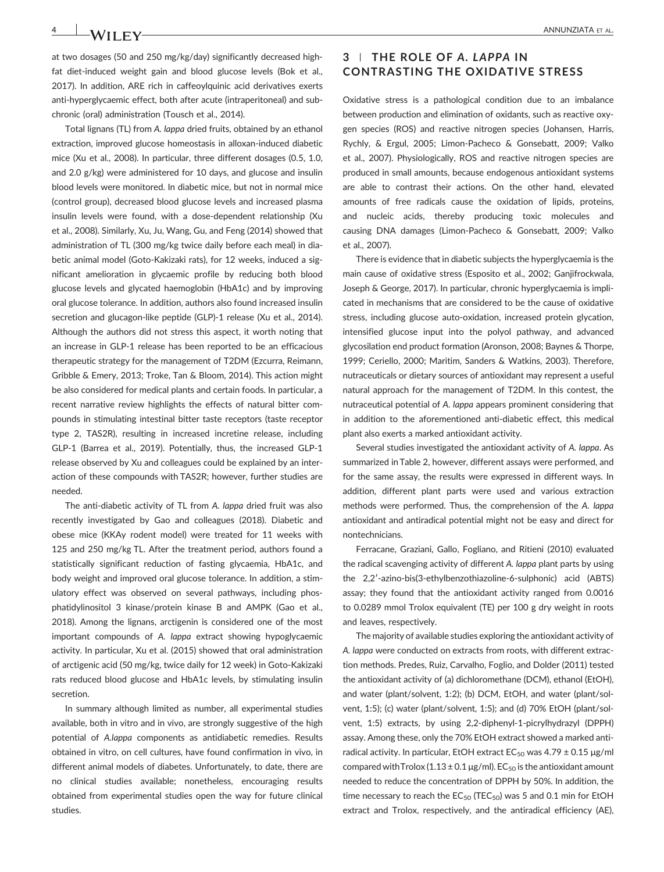at two dosages (50 and 250 mg/kg/day) significantly decreased high‐ fat diet-induced weight gain and blood glucose levels (Bok et al., 2017). In addition, ARE rich in caffeoylquinic acid derivatives exerts anti-hyperglycaemic effect, both after acute (intraperitoneal) and subchronic (oral) administration (Tousch et al., 2014).

Total lignans (TL) from *A. lappa* dried fruits, obtained by an ethanol extraction, improved glucose homeostasis in alloxan‐induced diabetic mice (Xu et al., 2008). In particular, three different dosages (0.5, 1.0, and 2.0 g/kg) were administered for 10 days, and glucose and insulin blood levels were monitored. In diabetic mice, but not in normal mice (control group), decreased blood glucose levels and increased plasma insulin levels were found, with a dose‐dependent relationship (Xu et al., 2008). Similarly, Xu, Ju, Wang, Gu, and Feng (2014) showed that administration of TL (300 mg/kg twice daily before each meal) in diabetic animal model (Goto‐Kakizaki rats), for 12 weeks, induced a significant amelioration in glycaemic profile by reducing both blood glucose levels and glycated haemoglobin (HbA1c) and by improving oral glucose tolerance. In addition, authors also found increased insulin secretion and glucagon-like peptide (GLP)-1 release (Xu et al., 2014). Although the authors did not stress this aspect, it worth noting that an increase in GLP‐1 release has been reported to be an efficacious therapeutic strategy for the management of T2DM (Ezcurra, Reimann, Gribble & Emery, 2013; Troke, Tan & Bloom, 2014). This action might be also considered for medical plants and certain foods. In particular, a recent narrative review highlights the effects of natural bitter compounds in stimulating intestinal bitter taste receptors (taste receptor type 2, TAS2R), resulting in increased incretine release, including GLP‐1 (Barrea et al., 2019). Potentially, thus, the increased GLP‐1 release observed by Xu and colleagues could be explained by an interaction of these compounds with TAS2R; however, further studies are needed.

The anti‐diabetic activity of TL from *A. lappa* dried fruit was also recently investigated by Gao and colleagues (2018). Diabetic and obese mice (KKAy rodent model) were treated for 11 weeks with 125 and 250 mg/kg TL. After the treatment period, authors found a statistically significant reduction of fasting glycaemia, HbA1c, and body weight and improved oral glucose tolerance. In addition, a stimulatory effect was observed on several pathways, including phosphatidylinositol 3 kinase/protein kinase B and AMPK (Gao et al., 2018). Among the lignans, arctigenin is considered one of the most important compounds of *A. lappa* extract showing hypoglycaemic activity. In particular, Xu et al. (2015) showed that oral administration of arctigenic acid (50 mg/kg, twice daily for 12 week) in Goto‐Kakizaki rats reduced blood glucose and HbA1c levels, by stimulating insulin secretion.

In summary although limited as number, all experimental studies available, both in vitro and in vivo, are strongly suggestive of the high potential of *A.lappa* components as antidiabetic remedies. Results obtained in vitro, on cell cultures, have found confirmation in vivo, in different animal models of diabetes. Unfortunately, to date, there are no clinical studies available; nonetheless, encouraging results obtained from experimental studies open the way for future clinical studies.

## **3** | **THE ROLE OF** *A. LAPPA* **IN CONTRASTING THE OXIDATIVE STRESS**

Oxidative stress is a pathological condition due to an imbalance between production and elimination of oxidants, such as reactive oxygen species (ROS) and reactive nitrogen species (Johansen, Harris, Rychly, & Ergul, 2005; Limon‐Pacheco & Gonsebatt, 2009; Valko et al., 2007). Physiologically, ROS and reactive nitrogen species are produced in small amounts, because endogenous antioxidant systems are able to contrast their actions. On the other hand, elevated amounts of free radicals cause the oxidation of lipids, proteins, and nucleic acids, thereby producing toxic molecules and causing DNA damages (Limon‐Pacheco & Gonsebatt, 2009; Valko et al., 2007).

There is evidence that in diabetic subjects the hyperglycaemia is the main cause of oxidative stress (Esposito et al., 2002; Ganjifrockwala, Joseph & George, 2017). In particular, chronic hyperglycaemia is implicated in mechanisms that are considered to be the cause of oxidative stress, including glucose auto‐oxidation, increased protein glycation, intensified glucose input into the polyol pathway, and advanced glycosilation end product formation (Aronson, 2008; Baynes & Thorpe, 1999; Ceriello, 2000; Maritim, Sanders & Watkins, 2003). Therefore, nutraceuticals or dietary sources of antioxidant may represent a useful natural approach for the management of T2DM. In this contest, the nutraceutical potential of *A. lappa* appears prominent considering that in addition to the aforementioned anti-diabetic effect, this medical plant also exerts a marked antioxidant activity.

Several studies investigated the antioxidant activity of *A. lappa*. As summarized in Table 2, however, different assays were performed, and for the same assay, the results were expressed in different ways. In addition, different plant parts were used and various extraction methods were performed. Thus, the comprehension of the *A. lappa* antioxidant and antiradical potential might not be easy and direct for nontechnicians.

Ferracane, Graziani, Gallo, Fogliano, and Ritieni (2010) evaluated the radical scavenging activity of different *A. lappa* plant parts by using the 2,2′‐azino‐bis(3‐ethylbenzothiazoline‐6‐sulphonic) acid (ABTS) assay; they found that the antioxidant activity ranged from 0.0016 to 0.0289 mmol Trolox equivalent (TE) per 100 g dry weight in roots and leaves, respectively.

The majority of available studies exploring the antioxidant activity of *A. lappa* were conducted on extracts from roots, with different extraction methods. Predes, Ruiz, Carvalho, Foglio, and Dolder (2011) tested the antioxidant activity of (a) dichloromethane (DCM), ethanol (EtOH), and water (plant/solvent, 1:2); (b) DCM, EtOH, and water (plant/solvent, 1:5); (c) water (plant/solvent, 1:5); and (d) 70% EtOH (plant/solvent, 1:5) extracts, by using 2,2‐diphenyl‐1‐picrylhydrazyl (DPPH) assay. Among these, only the 70% EtOH extract showed a marked antiradical activity. In particular, EtOH extract  $EC_{50}$  was 4.79  $\pm$  0.15  $\mu$ g/ml compared with Trolox (1.13  $\pm$  0.1 µg/ml). EC<sub>50</sub> is the antioxidant amount needed to reduce the concentration of DPPH by 50%. In addition, the time necessary to reach the  $EC_{50}$  (TEC<sub>50</sub>) was 5 and 0.1 min for EtOH extract and Trolox, respectively, and the antiradical efficiency (AE),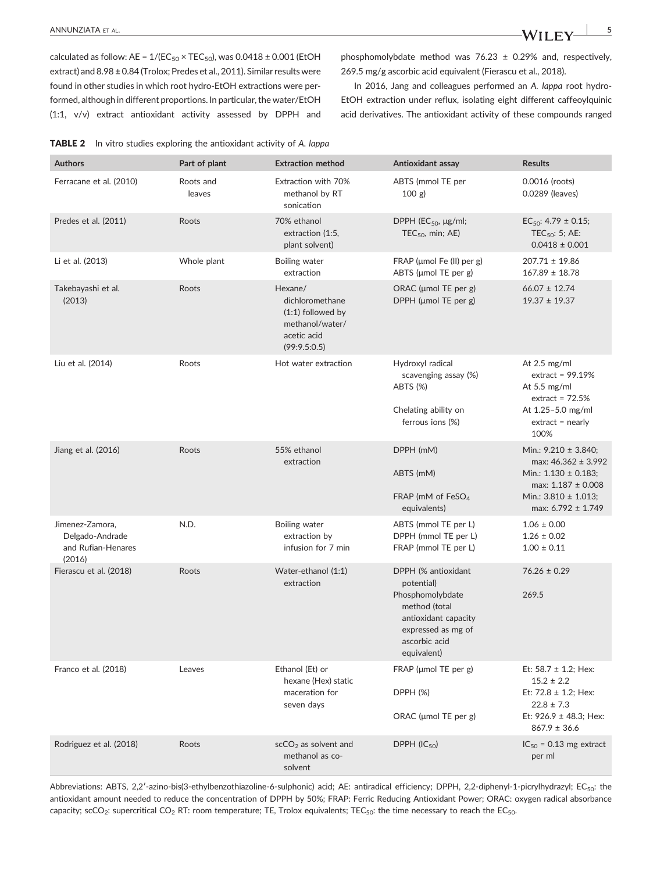calculated as follow:  $AE = 1/(EC_{50} \times TEC_{50})$ , was  $0.0418 \pm 0.001$  (EtOH extract) and 8.98 ± 0.84 (Trolox; Predes et al., 2011). Similar results were found in other studies in which root hydro‐EtOH extractions were performed, although in different proportions. In particular, the water/EtOH (1:1, v/v) extract antioxidant activity assessed by DPPH and

| phosphomolybdate method was $76.23 \pm 0.29\%$ and, respectively, |  |  |  |  |
|-------------------------------------------------------------------|--|--|--|--|
| 269.5 mg/g ascorbic acid equivalent (Fierascu et al., 2018).      |  |  |  |  |

In 2016, Jang and colleagues performed an *A. lappa* root hydro‐ EtOH extraction under reflux, isolating eight different caffeoylquinic acid derivatives. The antioxidant activity of these compounds ranged

| <b>TABLE 2</b> In vitro studies exploring the antioxidant activity of A. lappa |  |
|--------------------------------------------------------------------------------|--|
|--------------------------------------------------------------------------------|--|

| <b>Authors</b>                                                     | Part of plant       | <b>Extraction method</b>                                                                            | Antioxidant assay                                                                                                                                    | <b>Results</b>                                                                                                                                                 |
|--------------------------------------------------------------------|---------------------|-----------------------------------------------------------------------------------------------------|------------------------------------------------------------------------------------------------------------------------------------------------------|----------------------------------------------------------------------------------------------------------------------------------------------------------------|
| Ferracane et al. (2010)                                            | Roots and<br>leaves | Extraction with 70%<br>methanol by RT<br>sonication                                                 | ABTS (mmol TE per<br>100 g)                                                                                                                          | 0.0016 (roots)<br>0.0289 (leaves)                                                                                                                              |
| Predes et al. (2011)                                               | Roots               | 70% ethanol<br>extraction (1:5,<br>plant solvent)                                                   | DPPH (EC <sub>50</sub> , µg/ml;<br>$TEC50$ , min; AE)                                                                                                | EC <sub>50</sub> : 4.79 $\pm$ 0.15;<br>TEC <sub>50</sub> : 5; AE:<br>$0.0418 \pm 0.001$                                                                        |
| Li et al. (2013)                                                   | Whole plant         | Boiling water<br>extraction                                                                         | FRAP ( $\mu$ mol Fe (II) per g)<br>ABTS (µmol TE per g)                                                                                              | $207.71 \pm 19.86$<br>$167.89 \pm 18.78$                                                                                                                       |
| Takebayashi et al.<br>(2013)                                       | Roots               | Hexane/<br>dichloromethane<br>$(1:1)$ followed by<br>methanol/water/<br>acetic acid<br>(99:9.5:0.5) | ORAC ( $\mu$ mol TE per g)<br>DPPH (µmol TE per g)                                                                                                   | $66.07 \pm 12.74$<br>$19.37 \pm 19.37$                                                                                                                         |
| Liu et al. (2014)                                                  | Roots               | Hot water extraction                                                                                | Hydroxyl radical<br>scavenging assay (%)<br>ABTS (%)<br>Chelating ability on<br>ferrous ions (%)                                                     | At $2.5$ mg/ml<br>extract = $99.19%$<br>At $5.5$ mg/ml<br>extract = $72.5%$<br>At 1.25-5.0 mg/ml<br>$extract = nearly$<br>100%                                 |
| Jiang et al. (2016)                                                | Roots               | 55% ethanol<br>extraction                                                                           | DPPH (mM)<br>ABTS (mM)<br>FRAP (mM of FeSO <sub>4</sub><br>equivalents)                                                                              | Min.: $9.210 \pm 3.840$ ;<br>max: $46.362 \pm 3.992$<br>Min.: $1.130 \pm 0.183$ ;<br>max: $1.187 \pm 0.008$<br>Min.: $3.810 \pm 1.013$ ;<br>max: 6.792 ± 1.749 |
| Jimenez-Zamora,<br>Delgado-Andrade<br>and Rufian-Henares<br>(2016) | N.D.                | Boiling water<br>extraction by<br>infusion for 7 min                                                | ABTS (mmol TE per L)<br>DPPH (mmol TE per L)<br>FRAP (mmol TE per L)                                                                                 | $1.06 \pm 0.00$<br>$1.26 \pm 0.02$<br>$1.00 \pm 0.11$                                                                                                          |
| Fierascu et al. (2018)                                             | Roots               | Water-ethanol (1:1)<br>extraction                                                                   | DPPH (% antioxidant<br>potential)<br>Phosphomolybdate<br>method (total<br>antioxidant capacity<br>expressed as mg of<br>ascorbic acid<br>equivalent) | $76.26 \pm 0.29$<br>269.5                                                                                                                                      |
| Franco et al. (2018)                                               | Leaves              | Ethanol (Et) or<br>hexane (Hex) static<br>maceration for<br>seven days                              | FRAP ( $\mu$ mol TE per g)<br>DPPH (%)<br>ORAC ( $\mu$ mol TE per g)                                                                                 | Et: $58.7 \pm 1.2$ ; Hex:<br>$15.2 \pm 2.2$<br>Et: 72.8 ± 1.2; Hex:<br>$22.8 \pm 7.3$<br>Et: 926.9 ± 48.3; Hex:<br>$867.9 \pm 36.6$                            |
| Rodriguez et al. (2018)                                            | Roots               | $scCO2$ as solvent and<br>methanol as co-<br>solvent                                                | DPPH $(IC_{50})$                                                                                                                                     | $IC_{50} = 0.13$ mg extract<br>per ml                                                                                                                          |

Abbreviations: ABTS, 2,2′‐azino‐bis(3‐ethylbenzothiazoline‐6‐sulphonic) acid; AE: antiradical efficiency; DPPH, 2,2‐diphenyl‐1‐picrylhydrazyl; EC50: the antioxidant amount needed to reduce the concentration of DPPH by 50%; FRAP: Ferric Reducing Antioxidant Power; ORAC: oxygen radical absorbance capacity;  $scCO_2$ : supercritical  $CO_2$  RT: room temperature; TE, Trolox equivalents; TEC<sub>50</sub>: the time necessary to reach the EC<sub>50</sub>.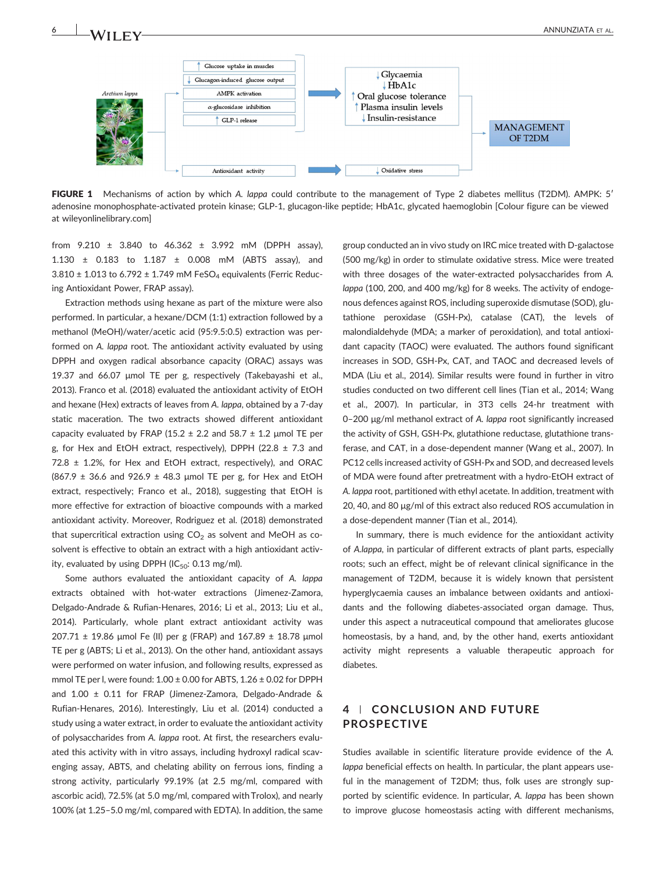

FIGURE 1 Mechanisms of action by which *A. lappa* could contribute to the management of Type 2 diabetes mellitus (T2DM). AMPK: 5′ adenosine monophosphate‐activated protein kinase; GLP‐1, glucagon‐like peptide; HbA1c, glycated haemoglobin [Colour figure can be viewed at [wileyonlinelibrary.com](http://wileyonlinelibrary.com)]

from 9.210 ± 3.840 to 46.362 ± 3.992 mM (DPPH assay), 1.130 ± 0.183 to 1.187 ± 0.008 mM (ABTS assay), and  $3.810 \pm 1.013$  to 6.792  $\pm$  1.749 mM FeSO<sub>4</sub> equivalents (Ferric Reducing Antioxidant Power, FRAP assay).

Extraction methods using hexane as part of the mixture were also performed. In particular, a hexane/DCM (1:1) extraction followed by a methanol (MeOH)/water/acetic acid (95:9.5:0.5) extraction was performed on *A. lappa* root. The antioxidant activity evaluated by using DPPH and oxygen radical absorbance capacity (ORAC) assays was 19.37 and 66.07 μmol TE per g, respectively (Takebayashi et al., 2013). Franco et al. (2018) evaluated the antioxidant activity of EtOH and hexane (Hex) extracts of leaves from *A. lappa*, obtained by a 7‐day static maceration. The two extracts showed different antioxidant capacity evaluated by FRAP (15.2  $\pm$  2.2 and 58.7  $\pm$  1.2 µmol TE per g, for Hex and EtOH extract, respectively), DPPH (22.8  $\pm$  7.3 and 72.8  $\pm$  1.2%, for Hex and EtOH extract, respectively), and ORAC  $(867.9 \pm 36.6 \text{ and } 926.9 \pm 48.3 \text{ }\mu\text{mol}$  TE per g, for Hex and EtOH extract, respectively; Franco et al., 2018), suggesting that EtOH is more effective for extraction of bioactive compounds with a marked antioxidant activity. Moreover, Rodriguez et al. (2018) demonstrated that supercritical extraction using  $CO<sub>2</sub>$  as solvent and MeOH as cosolvent is effective to obtain an extract with a high antioxidant activity, evaluated by using DPPH ( $IC_{50}$ : 0.13 mg/ml).

Some authors evaluated the antioxidant capacity of *A. lappa* extracts obtained with hot-water extractions (Jimenez-Zamora, Delgado‐Andrade & Rufian‐Henares, 2016; Li et al., 2013; Liu et al., 2014). Particularly, whole plant extract antioxidant activity was  $207.71 \pm 19.86$  μmol Fe (II) per g (FRAP) and  $167.89 \pm 18.78$  μmol TE per g (ABTS; Li et al., 2013). On the other hand, antioxidant assays were performed on water infusion, and following results, expressed as mmol TE per l, were found:  $1.00 \pm 0.00$  for ABTS,  $1.26 \pm 0.02$  for DPPH and 1.00 ± 0.11 for FRAP (Jimenez‐Zamora, Delgado‐Andrade & Rufian‐Henares, 2016). Interestingly, Liu et al. (2014) conducted a study using a water extract, in order to evaluate the antioxidant activity of polysaccharides from *A. lappa* root. At first, the researchers evaluated this activity with in vitro assays, including hydroxyl radical scavenging assay, ABTS, and chelating ability on ferrous ions, finding a strong activity, particularly 99.19% (at 2.5 mg/ml, compared with ascorbic acid), 72.5% (at 5.0 mg/ml, compared with Trolox), and nearly 100% (at 1.25–5.0 mg/ml, compared with EDTA). In addition, the same

group conducted an in vivo study on IRC mice treated with D‐galactose (500 mg/kg) in order to stimulate oxidative stress. Mice were treated with three dosages of the water‐extracted polysaccharides from *A. lappa* (100, 200, and 400 mg/kg) for 8 weeks. The activity of endogenous defences against ROS, including superoxide dismutase (SOD), glutathione peroxidase (GSH‐Px), catalase (CAT), the levels of malondialdehyde (MDA; a marker of peroxidation), and total antioxidant capacity (TAOC) were evaluated. The authors found significant increases in SOD, GSH‐Px, CAT, and TAOC and decreased levels of MDA (Liu et al., 2014). Similar results were found in further in vitro studies conducted on two different cell lines (Tian et al., 2014; Wang et al., 2007). In particular, in 3T3 cells 24‐hr treatment with 0–200 μg/ml methanol extract of *A. lappa* root significantly increased the activity of GSH, GSH‐Px, glutathione reductase, glutathione transferase, and CAT, in a dose‐dependent manner (Wang et al., 2007). In PC12 cells increased activity of GSH‐Px and SOD, and decreased levels of MDA were found after pretreatment with a hydro‐EtOH extract of *A. lappa* root, partitioned with ethyl acetate. In addition, treatment with 20, 40, and 80 μg/ml of this extract also reduced ROS accumulation in a dose‐dependent manner (Tian et al., 2014).

In summary, there is much evidence for the antioxidant activity of *A.lappa*, in particular of different extracts of plant parts, especially roots; such an effect, might be of relevant clinical significance in the management of T2DM, because it is widely known that persistent hyperglycaemia causes an imbalance between oxidants and antioxidants and the following diabetes‐associated organ damage. Thus, under this aspect a nutraceutical compound that ameliorates glucose homeostasis, by a hand, and, by the other hand, exerts antioxidant activity might represents a valuable therapeutic approach for diabetes.

## **4** | **CONCLUSION AND FUTURE PROSPECTIVE**

Studies available in scientific literature provide evidence of the *A. lappa* beneficial effects on health. In particular, the plant appears useful in the management of T2DM; thus, folk uses are strongly supported by scientific evidence. In particular, *A. lappa* has been shown to improve glucose homeostasis acting with different mechanisms,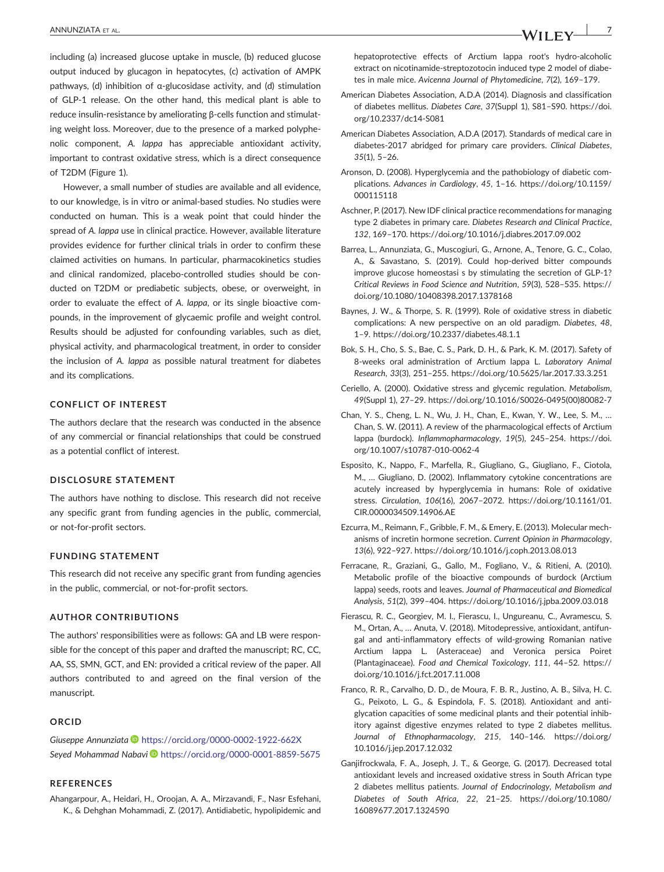including (a) increased glucose uptake in muscle, (b) reduced glucose output induced by glucagon in hepatocytes, (c) activation of AMPK pathways, (d) inhibition of α‐glucosidase activity, and (d) stimulation of GLP‐1 release. On the other hand, this medical plant is able to reduce insulin‐resistance by ameliorating β‐cells function and stimulating weight loss. Moreover, due to the presence of a marked polyphenolic component, *A. lappa* has appreciable antioxidant activity, important to contrast oxidative stress, which is a direct consequence of T2DM (Figure 1).

However, a small number of studies are available and all evidence, to our knowledge, is in vitro or animal‐based studies. No studies were conducted on human. This is a weak point that could hinder the spread of *A. lappa* use in clinical practice. However, available literature provides evidence for further clinical trials in order to confirm these claimed activities on humans. In particular, pharmacokinetics studies and clinical randomized, placebo‐controlled studies should be conducted on T2DM or prediabetic subjects, obese, or overweight, in order to evaluate the effect of *A. lappa*, or its single bioactive compounds, in the improvement of glycaemic profile and weight control. Results should be adjusted for confounding variables, such as diet, physical activity, and pharmacological treatment, in order to consider the inclusion of *A. lappa* as possible natural treatment for diabetes and its complications.

## **CONFLICT OF INTEREST**

The authors declare that the research was conducted in the absence of any commercial or financial relationships that could be construed as a potential conflict of interest.

#### **DISCLOSURE STATEMENT**

The authors have nothing to disclose. This research did not receive any specific grant from funding agencies in the public, commercial, or not‐for‐profit sectors.

#### **FUNDING STATEMENT**

This research did not receive any specific grant from funding agencies in the public, commercial, or not‐for‐profit sectors.

## **AUTHOR CONTRIBUTIONS**

The authors' responsibilities were as follows: GA and LB were responsible for the concept of this paper and drafted the manuscript; RC, CC, AA, SS, SMN, GCT, and EN: provided a critical review of the paper. All authors contributed to and agreed on the final version of the manuscript.

## **ORCID**

*Giuseppe Annunziata* <https://orcid.org/0000-0002-1922-662X> *Seyed Mohammad Nabavi* <https://orcid.org/0000-0001-8859-5675>

## **REFERENCES**

Ahangarpour, A., Heidari, H., Oroojan, A. A., Mirzavandi, F., Nasr Esfehani, K., & Dehghan Mohammadi, Z. (2017). Antidiabetic, hypolipidemic and hepatoprotective effects of Arctium lappa root's hydro-alcoholic extract on nicotinamide‐streptozotocin induced type 2 model of diabetes in male mice. *Avicenna Journal of Phytomedicine*, *7*(2), 169–179.

- American Diabetes Association, A.D.A (2014). Diagnosis and classification of diabetes mellitus. *Diabetes Care*, *37*(Suppl 1), S81–S90. [https://doi.](https://doi.org/10.2337/dc14-S081) [org/10.2337/dc14](https://doi.org/10.2337/dc14-S081)‐S081
- American Diabetes Association, A.D.A (2017). Standards of medical care in diabetes‐2017 abridged for primary care providers. *Clinical Diabetes*, *35*(1), 5–26.
- Aronson, D. (2008). Hyperglycemia and the pathobiology of diabetic complications. *Advances in Cardiology*, *45*, 1–16. [https://doi.org/10.1159/](https://doi.org/10.1159/000115118) [000115118](https://doi.org/10.1159/000115118)
- Aschner, P. (2017). New IDF clinical practice recommendations for managing type 2 diabetes in primary care. *Diabetes Research and Clinical Practice*, *132*, 169–170.<https://doi.org/10.1016/j.diabres.2017.09.002>
- Barrea, L., Annunziata, G., Muscogiuri, G., Arnone, A., Tenore, G. C., Colao, A., & Savastano, S. (2019). Could hop-derived bitter compounds improve glucose homeostasi s by stimulating the secretion of GLP‐1? *Critical Reviews in Food Science and Nutrition*, *59*(3), 528–535. [https://](https://doi.org/10.1080/10408398.2017.1378168) [doi.org/10.1080/10408398.2017.1378168](https://doi.org/10.1080/10408398.2017.1378168)
- Baynes, J. W., & Thorpe, S. R. (1999). Role of oxidative stress in diabetic complications: A new perspective on an old paradigm. *Diabetes*, *48*, 1–9.<https://doi.org/10.2337/diabetes.48.1.1>
- Bok, S. H., Cho, S. S., Bae, C. S., Park, D. H., & Park, K. M. (2017). Safety of 8‐weeks oral administration of Arctium lappa L. *Laboratory Animal Research*, *33*(3), 251–255.<https://doi.org/10.5625/lar.2017.33.3.251>
- Ceriello, A. (2000). Oxidative stress and glycemic regulation. *Metabolism*, *49*(Suppl 1), 27–29. [https://doi.org/10.1016/S0026](https://doi.org/10.1016/S0026-0495(00)80082-7)‐0495(00)80082‐7
- Chan, Y. S., Cheng, L. N., Wu, J. H., Chan, E., Kwan, Y. W., Lee, S. M., … Chan, S. W. (2011). A review of the pharmacological effects of Arctium lappa (burdock). *Inflammopharmacology*, *19*(5), 245–254. [https://doi.](https://doi.org/10.1007/s10787-010-0062-4) [org/10.1007/s10787](https://doi.org/10.1007/s10787-010-0062-4)‐010‐0062‐4
- Esposito, K., Nappo, F., Marfella, R., Giugliano, G., Giugliano, F., Ciotola, M., … Giugliano, D. (2002). Inflammatory cytokine concentrations are acutely increased by hyperglycemia in humans: Role of oxidative stress. *Circulation*, *106*(16), 2067–2072. [https://doi.org/10.1161/01.](https://doi.org/10.1161/01.CIR.0000034509.14906.AE) [CIR.0000034509.14906.AE](https://doi.org/10.1161/01.CIR.0000034509.14906.AE)
- Ezcurra, M., Reimann, F., Gribble, F. M., & Emery, E. (2013). Molecular mechanisms of incretin hormone secretion. *Current Opinion in Pharmacology*, *13*(6), 922–927.<https://doi.org/10.1016/j.coph.2013.08.013>
- Ferracane, R., Graziani, G., Gallo, M., Fogliano, V., & Ritieni, A. (2010). Metabolic profile of the bioactive compounds of burdock (Arctium lappa) seeds, roots and leaves. *Journal of Pharmaceutical and Biomedical Analysis*, *51*(2), 399–404.<https://doi.org/10.1016/j.jpba.2009.03.018>
- Fierascu, R. C., Georgiev, M. I., Fierascu, I., Ungureanu, C., Avramescu, S. M., Ortan, A., … Anuta, V. (2018). Mitodepressive, antioxidant, antifungal and anti‐inflammatory effects of wild‐growing Romanian native Arctium lappa L. (Asteraceae) and Veronica persica Poiret (Plantaginaceae). *Food and Chemical Toxicology*, *111*, 44–52. [https://](https://doi.org/10.1016/j.fct.2017.11.008) [doi.org/10.1016/j.fct.2017.11.008](https://doi.org/10.1016/j.fct.2017.11.008)
- Franco, R. R., Carvalho, D. D., de Moura, F. B. R., Justino, A. B., Silva, H. C. G., Peixoto, L. G., & Espindola, F. S. (2018). Antioxidant and anti‐ glycation capacities of some medicinal plants and their potential inhibitory against digestive enzymes related to type 2 diabetes mellitus. *Journal of Ethnopharmacology*, *215*, 140–146. [https://doi.org/](https://doi.org/10.1016/j.jep.2017.12.032) [10.1016/j.jep.2017.12.032](https://doi.org/10.1016/j.jep.2017.12.032)
- Ganjifrockwala, F. A., Joseph, J. T., & George, G. (2017). Decreased total antioxidant levels and increased oxidative stress in South African type 2 diabetes mellitus patients. *Journal of Endocrinology, Metabolism and Diabetes of South Africa*, *22*, 21–25. [https://doi.org/10.1080/](https://doi.org/10.1080/16089677.2017.1324590) [16089677.2017.1324590](https://doi.org/10.1080/16089677.2017.1324590)